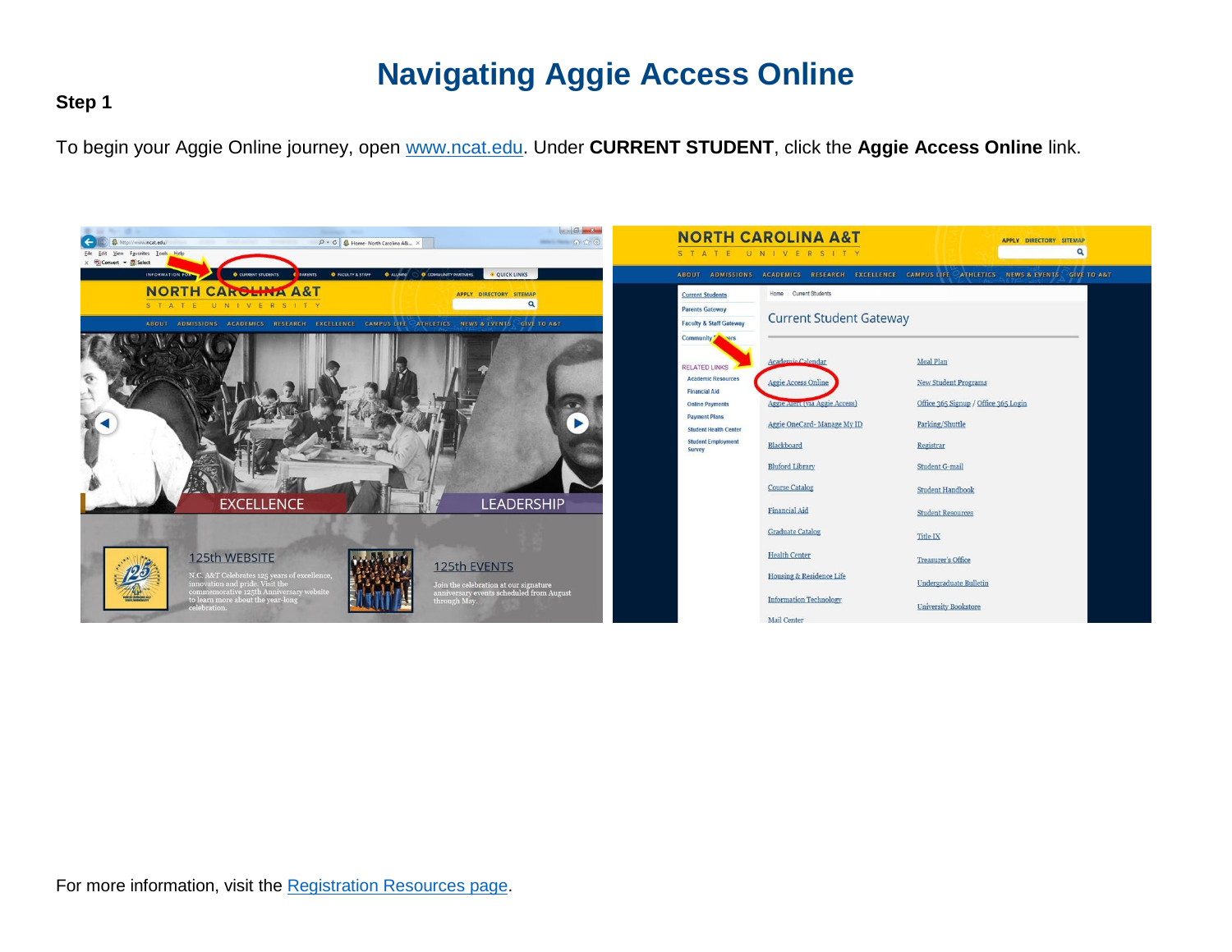#### **Step 1**

To begin your Aggie Online journey, open [www.ncat.edu.](http://www.ncat.edu/) Under **CURRENT STUDENT**, click the **Aggie Access Online** link.

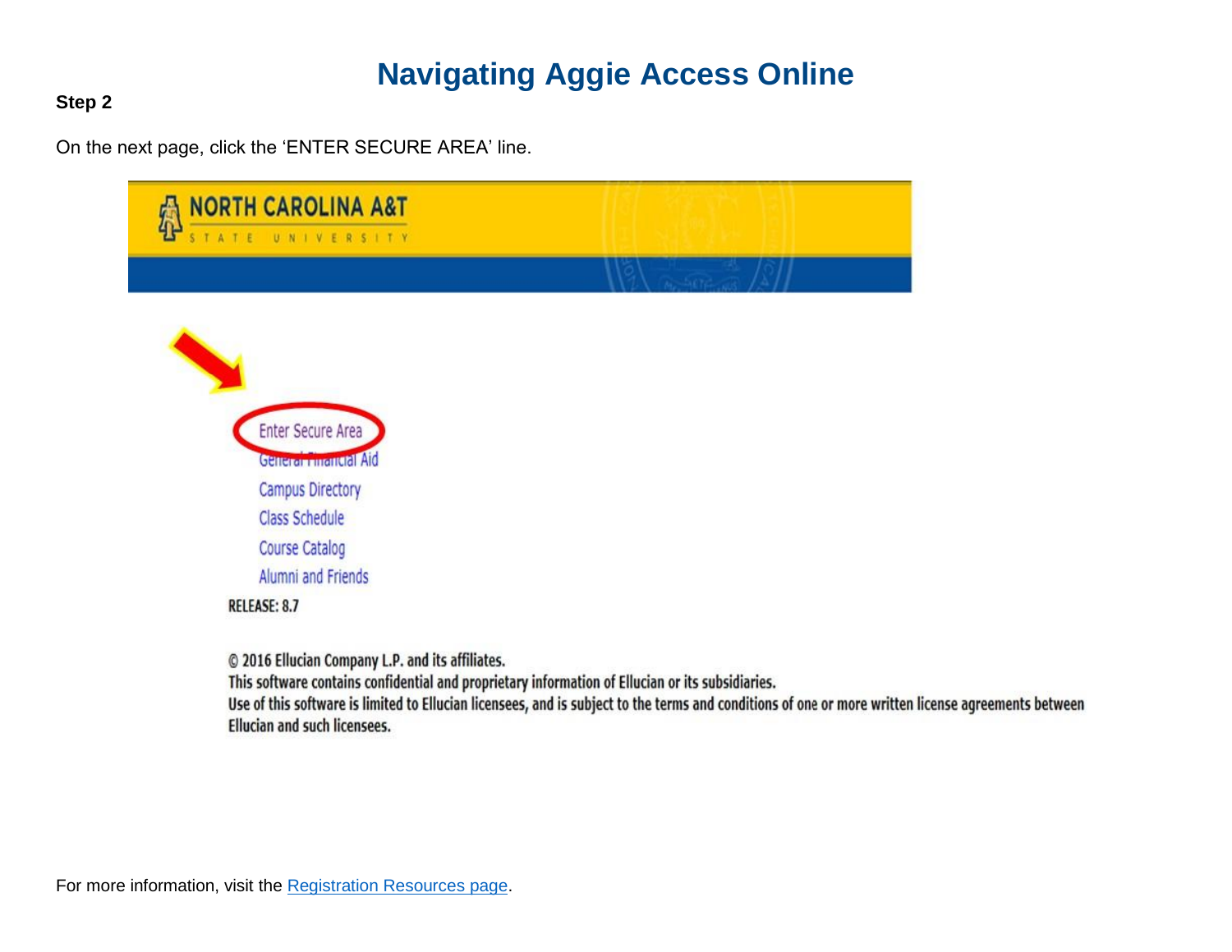**Step 2**

On the next page, click the 'ENTER SECURE AREA' line.

| <b>NORTH CAROLINA A&amp;T</b><br>獋<br>UNIVERSITY |         |
|--------------------------------------------------|---------|
|                                                  |         |
| Enter Secure Area<br>General manual Aid          |         |
| <b>Campus Directory</b>                          |         |
| <b>Class Schedule</b>                            |         |
| <b>Course Catalog</b>                            |         |
| Alumni and Friends                               |         |
| <b>RELEASE: 8.7</b>                              |         |
| © 2016 Ellucian Company L.P. and its affiliates. | $-68 -$ |

This software contains confidential and proprietary information of Ellucian or its subsidiaries.

Use of this software is limited to Ellucian licensees, and is subject to the terms and conditions of one or more written license agreements between **Ellucian and such licensees.**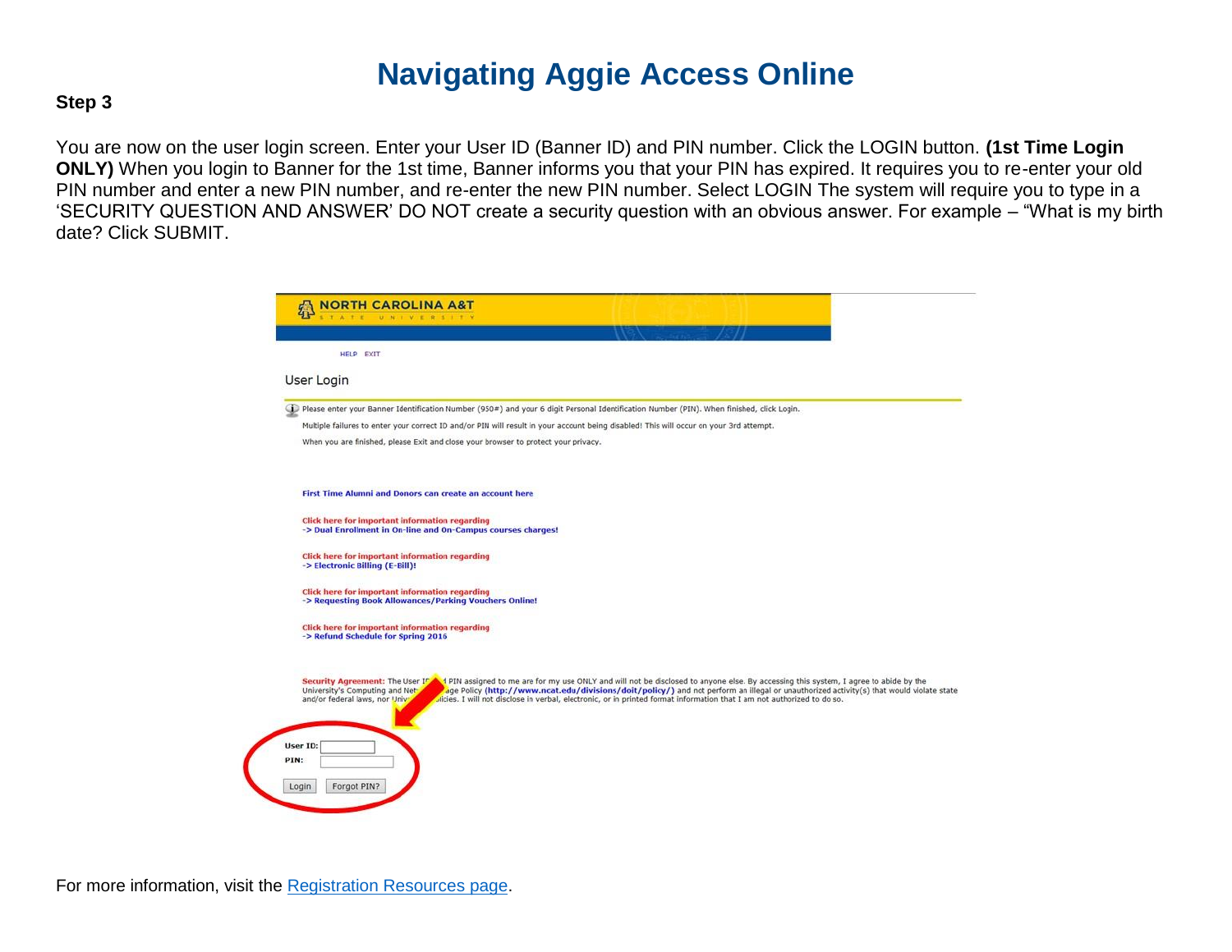#### **Step 3**

You are now on the user login screen. Enter your User ID (Banner ID) and PIN number. Click the LOGIN button. **(1st Time Login ONLY)** When you login to Banner for the 1st time, Banner informs you that your PIN has expired. It requires you to re-enter your old PIN number and enter a new PIN number, and re-enter the new PIN number. Select LOGIN The system will require you to type in a 'SECURITY QUESTION AND ANSWER' DO NOT create a security question with an obvious answer. For example – "What is my birth date? Click SUBMIT.

| User Login |                                                                                                                                                                                                                                                                                                                                                                                                                                                                                                                  |
|------------|------------------------------------------------------------------------------------------------------------------------------------------------------------------------------------------------------------------------------------------------------------------------------------------------------------------------------------------------------------------------------------------------------------------------------------------------------------------------------------------------------------------|
|            |                                                                                                                                                                                                                                                                                                                                                                                                                                                                                                                  |
|            | Please enter your Banner Identification Number (950#) and your 6 digit Personal Identification Number (PIN). When finished, click Login.                                                                                                                                                                                                                                                                                                                                                                         |
|            | Multiple failures to enter your correct ID and/or PIN will result in your account being disabled! This will occur on your 3rd attempt.                                                                                                                                                                                                                                                                                                                                                                           |
|            | When you are finished, please Exit and close your browser to protect your privacy.                                                                                                                                                                                                                                                                                                                                                                                                                               |
|            |                                                                                                                                                                                                                                                                                                                                                                                                                                                                                                                  |
|            | First Time Alumni and Donors can create an account here                                                                                                                                                                                                                                                                                                                                                                                                                                                          |
|            | Click here for important information regarding<br>-> Dual Enrollment in On-line and On-Campus courses charges!                                                                                                                                                                                                                                                                                                                                                                                                   |
|            | Click here for important information regarding<br>-> Electronic Billing (E-Bill)!                                                                                                                                                                                                                                                                                                                                                                                                                                |
|            | <b>Click here for important information regarding</b><br>-> Requesting Book Allowances/Parking Vouchers Online!                                                                                                                                                                                                                                                                                                                                                                                                  |
|            | Click here for important information regarding<br>-> Refund Schedule for Spring 2016                                                                                                                                                                                                                                                                                                                                                                                                                             |
|            | Security Agreement: The User IT<br>1 PIN assigned to me are for my use ONLY and will not be disclosed to anyone else. By accessing this system, I agree to abide by the<br>age Policy (http://www.ncat.edu/divisions/doit/policy/) and not perform an illegal or unauthorized activity(s) that would violate state<br>University's Computing and Net<br>dicies. I will not disclose in verbal, electronic, or in printed format information that I am not authorized to do so.<br>and/or federal laws, nor Univ- |
|            |                                                                                                                                                                                                                                                                                                                                                                                                                                                                                                                  |
| User ID:   |                                                                                                                                                                                                                                                                                                                                                                                                                                                                                                                  |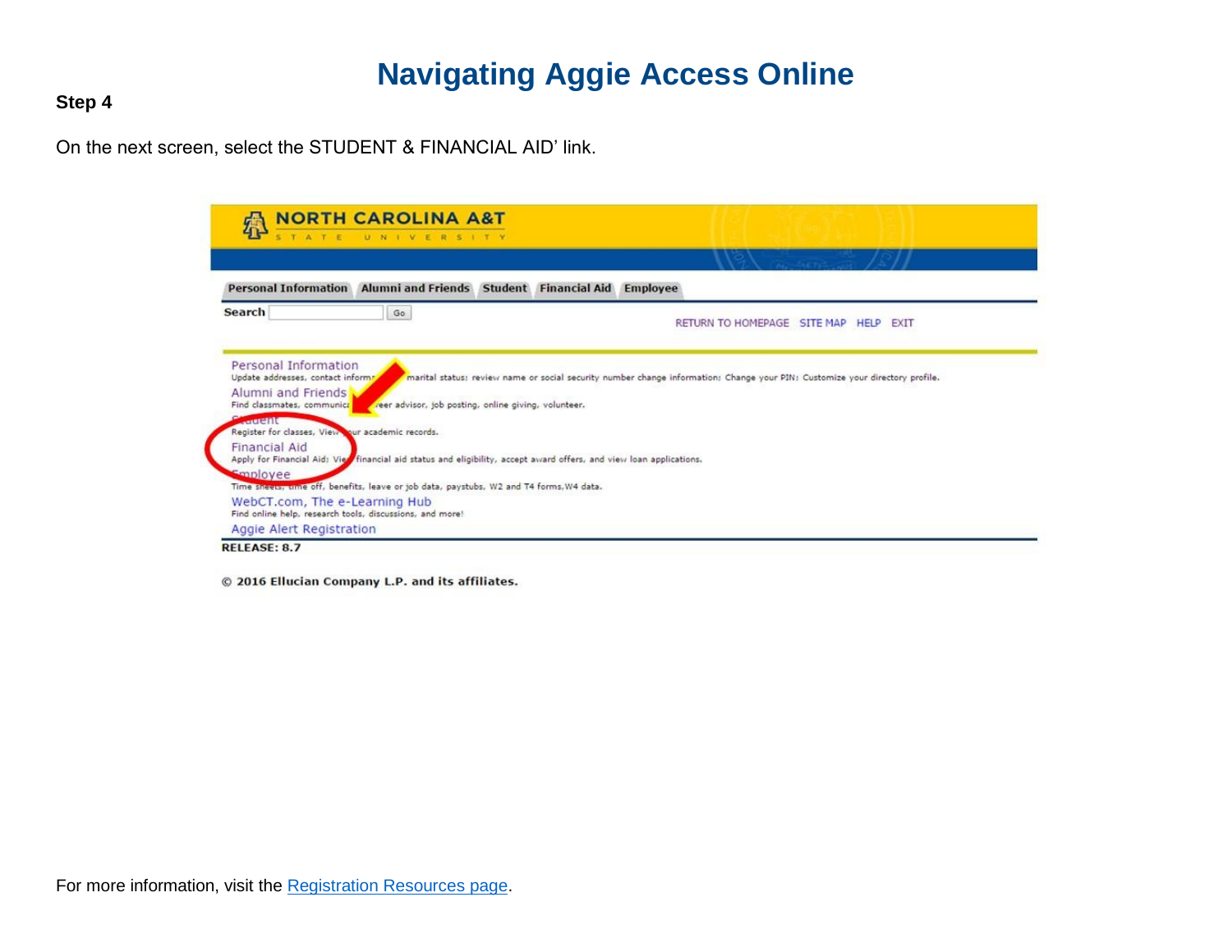**Step 4**

On the next screen, select the STUDENT & FINANCIAL AID' link.

| <b>SER</b>                                                                           |    |                                                                                                                     |                                                                                                                              |
|--------------------------------------------------------------------------------------|----|---------------------------------------------------------------------------------------------------------------------|------------------------------------------------------------------------------------------------------------------------------|
| <b>Personal Information</b>                                                          |    | Alumni and Friends Student Financial Aid Employee                                                                   |                                                                                                                              |
| <b>Search</b>                                                                        | Go |                                                                                                                     | RETURN TO HOMEPAGE SITE MAP HELP EXIT                                                                                        |
|                                                                                      |    |                                                                                                                     |                                                                                                                              |
|                                                                                      |    |                                                                                                                     |                                                                                                                              |
| Personal Information<br>Update addresses, contact informs,                           |    |                                                                                                                     | marital status; review name or social security number change information; Change your PIN; Customize your directory profile. |
|                                                                                      |    |                                                                                                                     |                                                                                                                              |
| Alumni and Friends<br>Find classmates, communical<br><b><i><u>RECEIVED</u></i></b>   |    | reer advisor, job posting, online giving, volunteer.                                                                |                                                                                                                              |
| Register for classes, View pur academic records.                                     |    |                                                                                                                     |                                                                                                                              |
| <b>Financial Aid</b>                                                                 |    |                                                                                                                     |                                                                                                                              |
|                                                                                      |    | Apply for Financial Aid: Vie financial aid status and eligibility, accept award offers, and view loan applications. |                                                                                                                              |
| Smployee                                                                             |    | Time Sheets, time off, benefits, leave or job data, paystubs, W2 and T4 forms, W4 data.                             |                                                                                                                              |
| WebCT.com, The e-Learning Hub                                                        |    |                                                                                                                     |                                                                                                                              |
| Find online help, research tools, discussions, and more!<br>Aggie Alert Registration |    |                                                                                                                     |                                                                                                                              |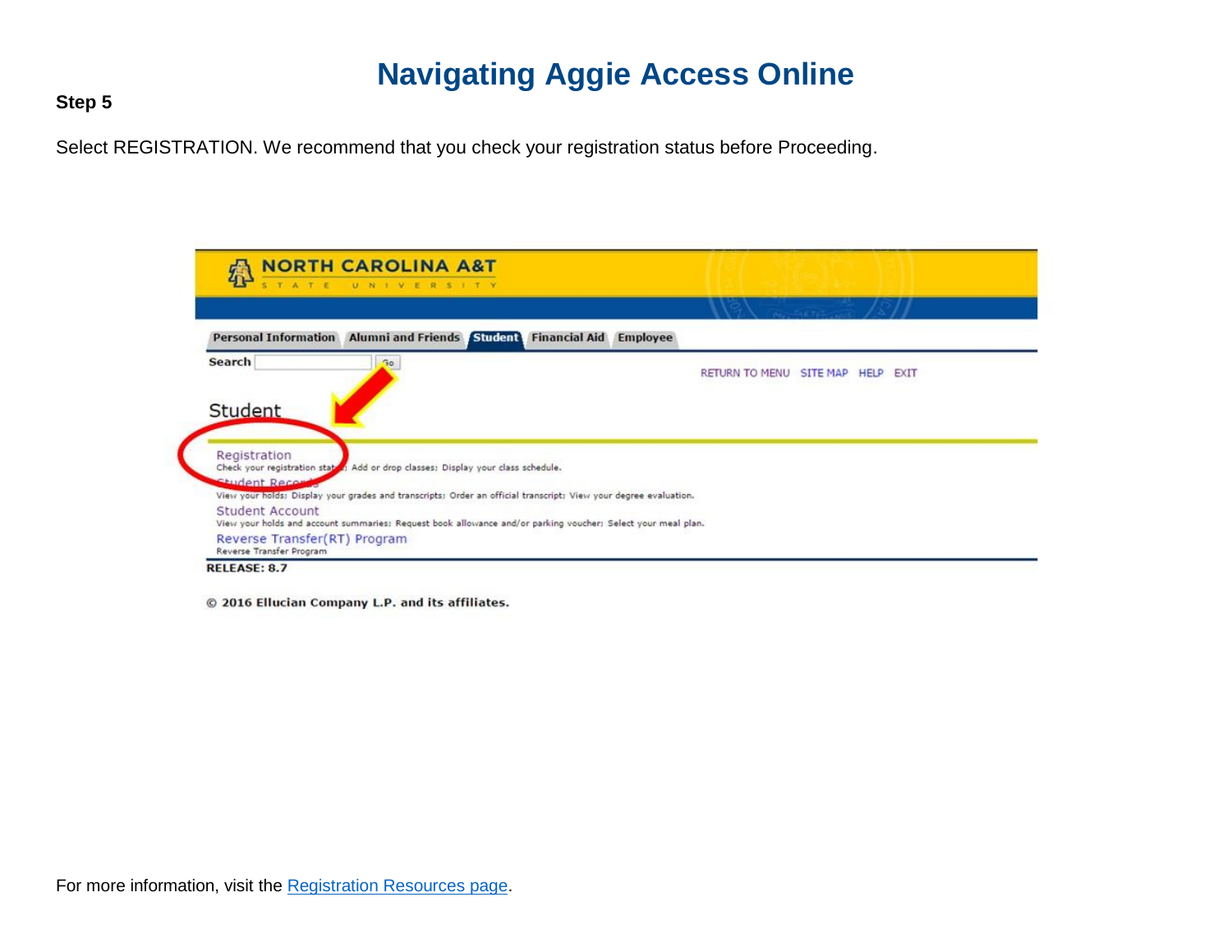**Step 5**

Select REGISTRATION. We recommend that you check your registration status before Proceeding.

| 魯<br>STATE UNIVERSITY                                                                                                                                                                                                 |                                      |
|-----------------------------------------------------------------------------------------------------------------------------------------------------------------------------------------------------------------------|--------------------------------------|
| Personal Information Alumni and Friends Student                                                                                                                                                                       | <b>Financial Aid Employee</b>        |
| <b>Search</b><br>Go.                                                                                                                                                                                                  | RETURN TO MENU SITE MAP HELP<br>EXIT |
|                                                                                                                                                                                                                       |                                      |
|                                                                                                                                                                                                                       |                                      |
|                                                                                                                                                                                                                       |                                      |
|                                                                                                                                                                                                                       |                                      |
| Student Record                                                                                                                                                                                                        |                                      |
| Registration<br>Check your registration states: Add or drop classes; Display your class schedule.<br>View your holds; Display your grades and transcripts; Order an official transcript; View your degree evaluation. |                                      |
| Student<br>Student Account<br>View your holds and account summaries: Request book allowance and/or parking voucher: Select your meal plan.                                                                            |                                      |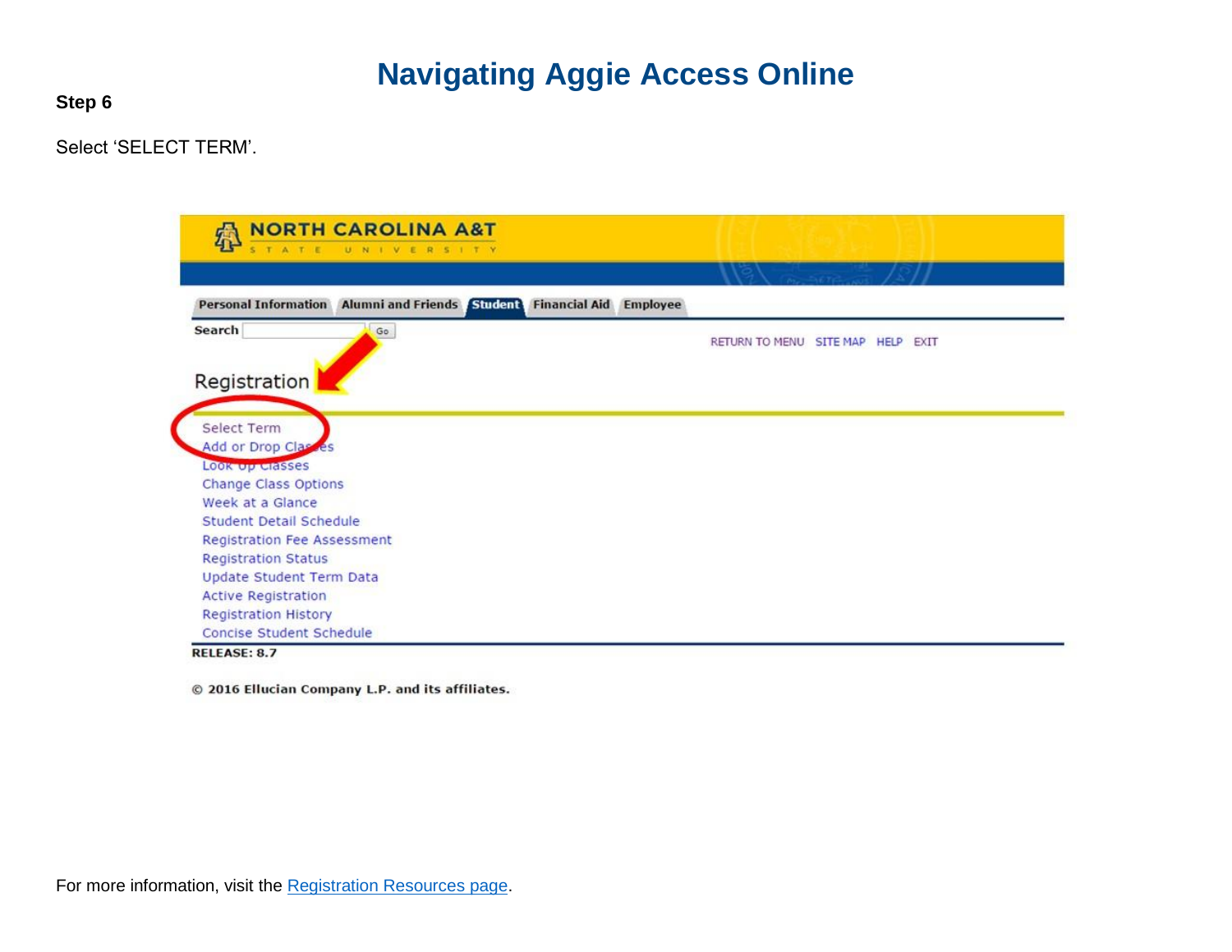**Step 6**

Select 'SELECT TERM'.

| 魯<br>UNIVERSITY<br>STATE                                                                             |                                   |
|------------------------------------------------------------------------------------------------------|-----------------------------------|
|                                                                                                      | $A = 567c$                        |
| <b>Student</b><br>Personal Information Alumni and Friends<br><b>Financial Aid</b><br><b>Employee</b> |                                   |
| Search<br>Go                                                                                         | RETURN TO MENU SITE MAP HELP EXIT |
|                                                                                                      |                                   |
| Registration                                                                                         |                                   |
|                                                                                                      |                                   |
| Select Term                                                                                          |                                   |
| Add or Drop Classes                                                                                  |                                   |
| LOOK Up Classes<br>Change Class Options                                                              |                                   |
| Week at a Glance                                                                                     |                                   |
| <b>Student Detail Schedule</b>                                                                       |                                   |
| <b>Registration Fee Assessment</b>                                                                   |                                   |
| <b>Registration Status</b>                                                                           |                                   |
| Update Student Term Data                                                                             |                                   |
| <b>Active Registration</b>                                                                           |                                   |
| <b>Registration History</b>                                                                          |                                   |
| Concise Student Schedule                                                                             |                                   |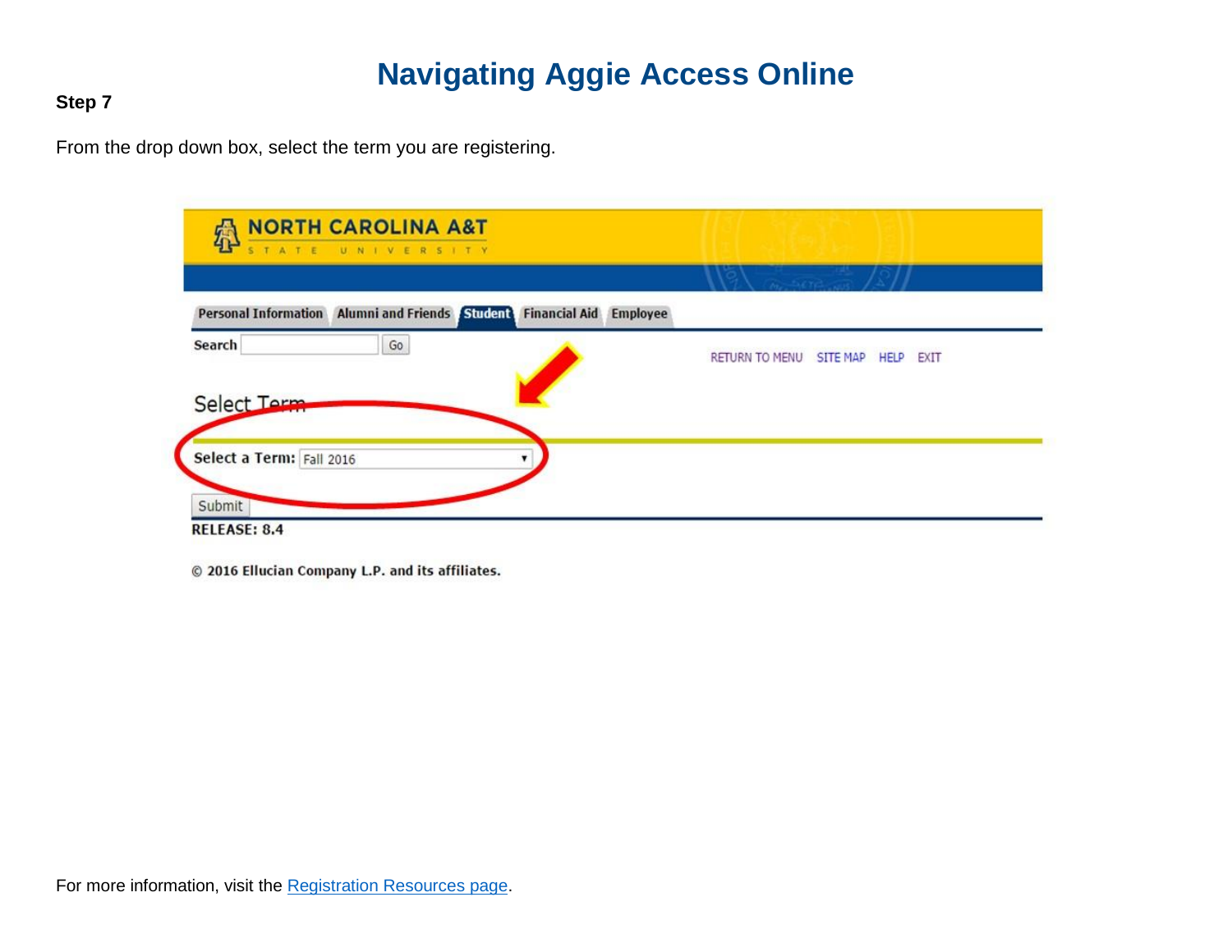#### **Step 7**

From the drop down box, select the term you are registering.

| Employee                                       |
|------------------------------------------------|
|                                                |
| RETURN TO MENU<br><b>SITE MAP</b><br>HELP EXIT |
|                                                |
|                                                |
|                                                |
|                                                |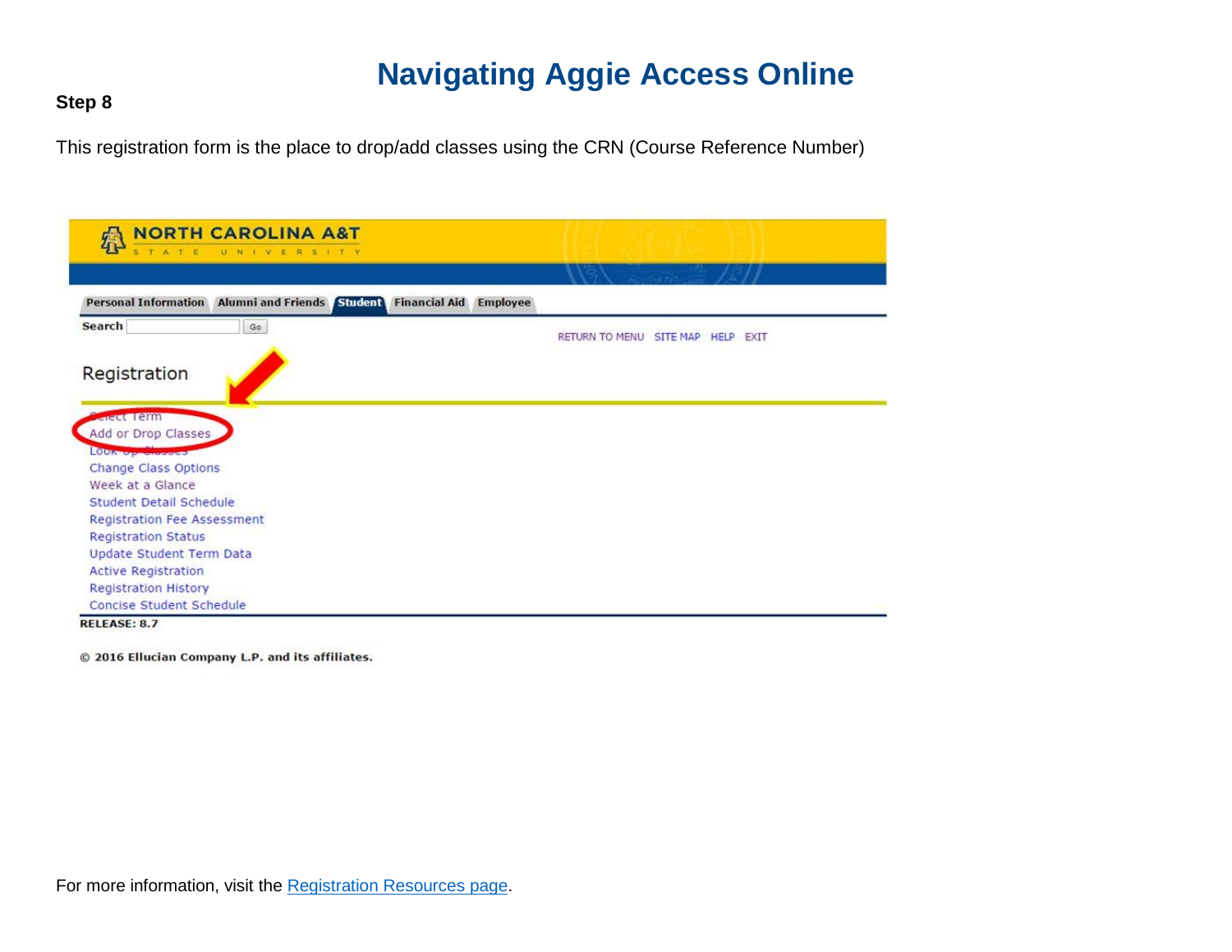#### **Step 8**

This registration form is the place to drop/add classes using the CRN (Course Reference Number)

| Personal Information Alumni and Friends Student Financial Aid Employee |                                   |
|------------------------------------------------------------------------|-----------------------------------|
| <b>Search</b><br>Go                                                    | RETURN TO MENU SITE MAP HELP EXIT |
|                                                                        |                                   |
| Registration                                                           |                                   |
|                                                                        |                                   |
| <b>Greet Term</b>                                                      |                                   |
| Add or Drop Classes                                                    |                                   |
| <b>CONTRACTOR</b>                                                      |                                   |
| Change Class Options                                                   |                                   |
| Week at a Glance                                                       |                                   |
| <b>Student Detail Schedule</b>                                         |                                   |
| <b>Registration Fee Assessment</b>                                     |                                   |
| <b>Registration Status</b>                                             |                                   |
| Update Student Term Data                                               |                                   |
| <b>Active Registration</b>                                             |                                   |
| <b>Registration History</b>                                            |                                   |
| Concise Student Schedule                                               |                                   |